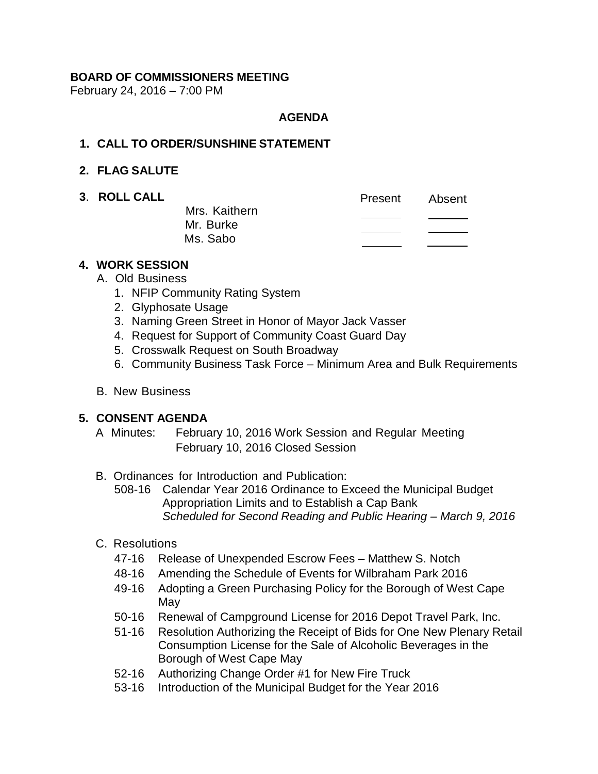## **BOARD OF COMMISSIONERS MEETING**

February 24, 2016 – 7:00 PM

#### **AGENDA**

#### **1. CALL TO ORDER/SUNSHINE STATEMENT**

#### **2. FLAG SALUTE**

**3. ROLL CALL** 

|               | Present | Absent |
|---------------|---------|--------|
| Mrs. Kaithern |         |        |
| Mr. Burke     |         |        |
| Ms. Sabo      |         |        |
|               |         |        |

## **4. WORK SESSION**

- A. Old Business
	- 1. NFIP Community Rating System
	- 2. Glyphosate Usage
	- 3. Naming Green Street in Honor of Mayor Jack Vasser
	- 4. Request for Support of Community Coast Guard Day
	- 5. Crosswalk Request on South Broadway
	- 6. Community Business Task Force Minimum Area and Bulk Requirements
- B. New Business

### **5. CONSENT AGENDA**

- A Minutes: February 10, 2016 Work Session and Regular Meeting February 10, 2016 Closed Session
- B. Ordinances for Introduction and Publication:
	- 508-16 Calendar Year 2016 Ordinance to Exceed the Municipal Budget Appropriation Limits and to Establish a Cap Bank *Scheduled for Second Reading and Public Hearing – March 9, 2016*
- C. Resolutions
	- 47-16 Release of Unexpended Escrow Fees Matthew S. Notch
	- 48-16 Amending the Schedule of Events for Wilbraham Park 2016
	- 49-16 Adopting a Green Purchasing Policy for the Borough of West Cape May
	- 50-16 Renewal of Campground License for 2016 Depot Travel Park, Inc.
	- 51-16 Resolution Authorizing the Receipt of Bids for One New Plenary Retail Consumption License for the Sale of Alcoholic Beverages in the Borough of West Cape May
	- 52-16 Authorizing Change Order #1 for New Fire Truck
	- 53-16 Introduction of the Municipal Budget for the Year 2016